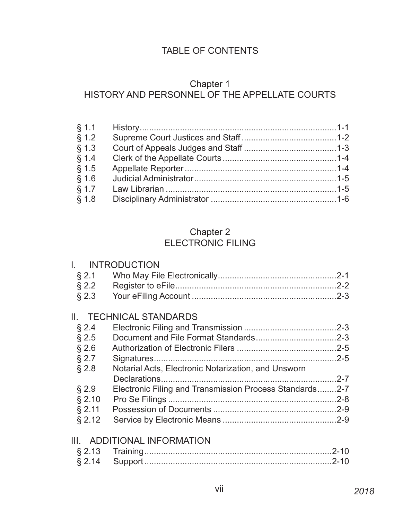# TABLE OF CONTENTS

## Chapter 1 HISTORY AND PERSONNEL OF THE APPELLATE COURTS

## Chapter 2 ELECTRONIC FILING

|          | I. INTRODUCTION                                         |  |
|----------|---------------------------------------------------------|--|
| $§$ 2.1  |                                                         |  |
| $\S 2.2$ |                                                         |  |
| $§$ 2.3  |                                                         |  |
|          | II. TECHNICAL STANDARDS                                 |  |
| § 2.4    |                                                         |  |
| $§$ 2.5  |                                                         |  |
| $§$ 2.6  |                                                         |  |
| $§$ 2.7  |                                                         |  |
| § 2.8    | Notarial Acts, Electronic Notarization, and Unsworn     |  |
|          |                                                         |  |
| $§$ 2.9  | Electronic Filing and Transmission Process Standards2-7 |  |
| $§$ 2.10 |                                                         |  |
| $§$ 2.11 |                                                         |  |
| $§$ 2.12 |                                                         |  |
|          | III. ADDITIONAL INFORMATION                             |  |
|          |                                                         |  |
|          |                                                         |  |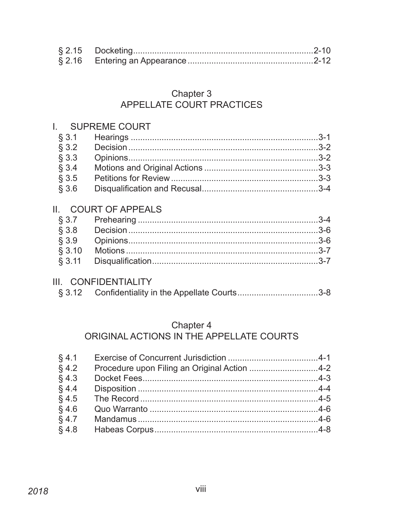## Chapter 3 **APPELLATE COURT PRACTICES**

#### **SUPREME COURT**  $\mathbf{L}$  $\S$  3.1  $§$  3.2  $§$  3.3  $§$  3.4  $§$  3.5  $§$  3.6 II. **COURT OF APPEALS**  $§ 3.7$  $§$  3.8  $§ 3.9$  $§ 3.10$  $$3.11$

#### III. CONFIDENTIALITY

|  | § 3.12 Confidentiality in the Appellate Courts3-8 |  |
|--|---------------------------------------------------|--|
|--|---------------------------------------------------|--|

#### Chapter 4

# ORIGINAL ACTIONS IN THE APPELLATE COURTS

| $§$ 4.1 |                                              |  |
|---------|----------------------------------------------|--|
| $§$ 4.2 | Procedure upon Filing an Original Action 4-2 |  |
| $§$ 4.3 |                                              |  |
| $§$ 4.4 |                                              |  |
| $§$ 4.5 |                                              |  |
| $§$ 4.6 |                                              |  |
| $§$ 4.7 |                                              |  |
| $§$ 4.8 |                                              |  |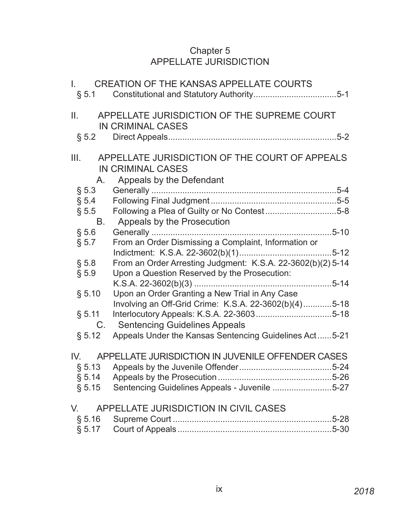### Chapter 5 APPELLATE JURISDICTION

|          | I. CREATION OF THE KANSAS APPELLATE COURTS                                                                     |
|----------|----------------------------------------------------------------------------------------------------------------|
| II.      | APPELLATE JURISDICTION OF THE SUPREME COURT<br>IN CRIMINAL CASES                                               |
|          |                                                                                                                |
|          | III. APPELLATE JURISDICTION OF THE COURT OF APPEALS<br><b>IN CRIMINAL CASES</b><br>A. Appeals by the Defendant |
| $\S 5.3$ |                                                                                                                |
|          |                                                                                                                |
|          | § 5.5 Following a Plea of Guilty or No Contest5-8                                                              |
|          | B. Appeals by the Prosecution                                                                                  |
| § 5.6    |                                                                                                                |
| $\S$ 5.7 | From an Order Dismissing a Complaint, Information or                                                           |
|          |                                                                                                                |
| $\S 5.8$ | From an Order Arresting Judgment: K.S.A. 22-3602(b)(2) 5-14                                                    |
| § 5.9    | Upon a Question Reserved by the Prosecution:                                                                   |
|          |                                                                                                                |
| § 5.10   | Upon an Order Granting a New Trial in Any Case                                                                 |
|          | Involving an Off-Grid Crime: K.S.A. 22-3602(b)(4)5-18                                                          |
| § 5.11   |                                                                                                                |
| C.       | <b>Sentencing Guidelines Appeals</b>                                                                           |
| § 5.12   | Appeals Under the Kansas Sentencing Guidelines Act5-21                                                         |
| IV.      | APPELLATE JURISDICTION IN JUVENILE OFFENDER CASES                                                              |
|          |                                                                                                                |
|          |                                                                                                                |
|          | § 5.15 Sentencing Guidelines Appeals - Juvenile 5-27                                                           |
| V.       | APPELLATE JURISDICTION IN CIVIL CASES                                                                          |
|          |                                                                                                                |
|          |                                                                                                                |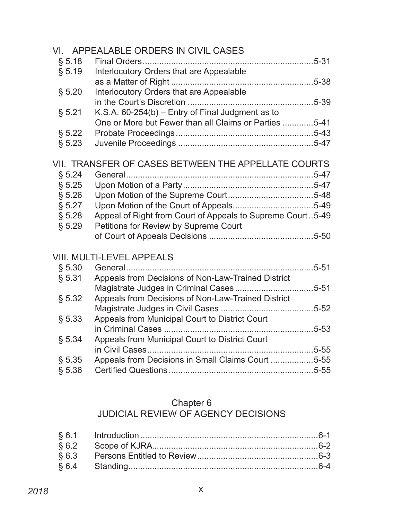|        | VI. APPEALABLE ORDERS IN CIVIL CASES                       |  |
|--------|------------------------------------------------------------|--|
| § 5.18 |                                                            |  |
| § 5.19 | Interlocutory Orders that are Appealable                   |  |
|        |                                                            |  |
| § 5.20 | Interlocutory Orders that are Appealable                   |  |
|        |                                                            |  |
| § 5.21 | K.S.A. $60-254(b)$ – Entry of Final Judgment as to         |  |
|        | One or More but Fewer than all Claims or Parties 5-41      |  |
| § 5.22 |                                                            |  |
| § 5.23 |                                                            |  |
|        |                                                            |  |
|        | VII. TRANSFER OF CASES BETWEEN THE APPELLATE COURTS        |  |
| \$5.24 | General                                                    |  |
| § 5.25 |                                                            |  |
| § 5.26 |                                                            |  |
| § 5.27 |                                                            |  |
| § 5.28 | Appeal of Right from Court of Appeals to Supreme Court5-49 |  |
| § 5.29 | Petitions for Review by Supreme Court                      |  |
|        |                                                            |  |
|        |                                                            |  |
|        | <b>VIII. MULTI-LEVEL APPEALS</b>                           |  |
| § 5.30 |                                                            |  |
| § 5.31 | Appeals from Decisions of Non-Law-Trained District         |  |
|        |                                                            |  |
| § 5.32 | Appeals from Decisions of Non-Law-Trained District         |  |
|        |                                                            |  |
| § 5.33 | Appeals from Municipal Court to District Court             |  |
|        |                                                            |  |
| § 5.34 | Appeals from Municipal Court to District Court             |  |
|        |                                                            |  |
| § 5.35 | Appeals from Decisions in Small Claims Court 5-55          |  |
| § 5.36 |                                                            |  |
|        |                                                            |  |

#### Chapter 6

#### JUDICIAL REVIEW OF AGENCY DECISIONS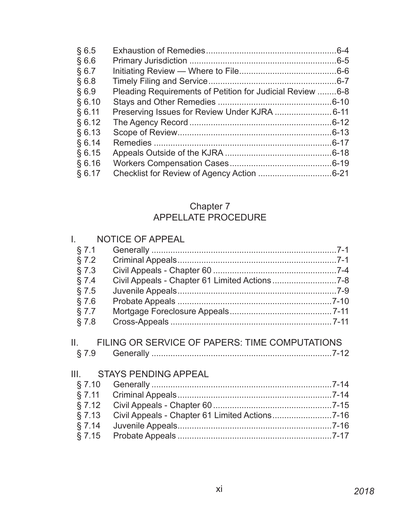| §6.5   |                                                           | $.6 - 4$  |
|--------|-----------------------------------------------------------|-----------|
| §6.6   |                                                           |           |
| § 6.7  |                                                           |           |
| §6.8   |                                                           |           |
| §6.9   | Pleading Requirements of Petition for Judicial Review 6-8 |           |
| § 6.10 |                                                           | $.6 - 10$ |
| § 6.11 |                                                           |           |
| § 6.12 |                                                           |           |
| § 6.13 |                                                           |           |
| § 6.14 |                                                           | $6 - 17$  |
| § 6.15 |                                                           | $.6 - 18$ |
| § 6.16 |                                                           | $.6 - 19$ |
| § 6.17 |                                                           |           |
|        |                                                           |           |

## Chapter 7 APPELLATE PROCEDURE

| $\mathbf{I}_{\mathbf{z}}$ and $\mathbf{I}_{\mathbf{z}}$ | <b>NOTICE OF APPEAL</b>                        |  |
|---------------------------------------------------------|------------------------------------------------|--|
| § 7.1                                                   |                                                |  |
| § 7.2                                                   |                                                |  |
| §7.3                                                    |                                                |  |
| § 7.4                                                   |                                                |  |
| §7.5                                                    |                                                |  |
| §7.6                                                    |                                                |  |
| § 7.7                                                   |                                                |  |
| § 7.8                                                   |                                                |  |
| § 7.9                                                   | FILING OR SERVICE OF PAPERS: TIME COMPUTATIONS |  |
| III.                                                    |                                                |  |
|                                                         | <b>STAYS PENDING APPEAL</b>                    |  |
| $\S 7.10$                                               |                                                |  |
| \$7.11                                                  |                                                |  |
| § 7.12                                                  |                                                |  |
| §7.13                                                   |                                                |  |
| § 7.14<br>§ 7.15                                        |                                                |  |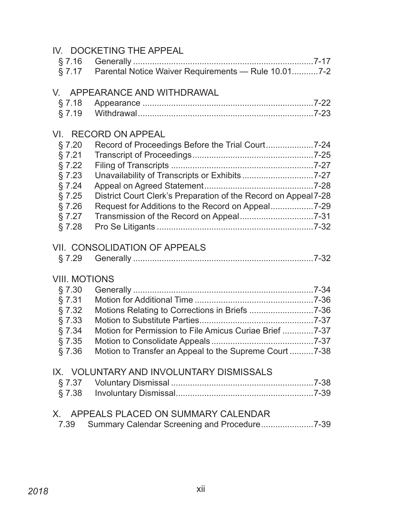|                      | IV. DOCKETING THE APPEAL                                       |  |
|----------------------|----------------------------------------------------------------|--|
|                      |                                                                |  |
|                      | § 7.17 Parental Notice Waiver Requirements - Rule 10.017-2     |  |
|                      | V. APPEARANCE AND WITHDRAWAL                                   |  |
| § 7.18               |                                                                |  |
| § 7.19               |                                                                |  |
|                      |                                                                |  |
|                      | VI. RECORD ON APPEAL                                           |  |
| § 7.20               |                                                                |  |
| $§$ 7.21             |                                                                |  |
| § 7.22               |                                                                |  |
| $\S$ 7.23            | Unavailability of Transcripts or Exhibits7-27                  |  |
| § 7.24               |                                                                |  |
| § 7.25               | District Court Clerk's Preparation of the Record on Appeal7-28 |  |
| $§$ 7.26             |                                                                |  |
| § 7.27               |                                                                |  |
| § 7.28               |                                                                |  |
|                      | VII. CONSOLIDATION OF APPEALS                                  |  |
| § 7.29               |                                                                |  |
|                      |                                                                |  |
| <b>VIII. MOTIONS</b> |                                                                |  |
| $§$ 7.30             |                                                                |  |
| §7.31                |                                                                |  |
| § 7.32               |                                                                |  |
| § 7.33               |                                                                |  |
| § 7.34               | Motion for Permission to File Amicus Curiae Brief 7-37         |  |
|                      |                                                                |  |
| $\S$ 7.36            | Motion to Transfer an Appeal to the Supreme Court 7-38         |  |
|                      | IX. VOLUNTARY AND INVOLUNTARY DISMISSALS                       |  |
|                      |                                                                |  |
| $\S$ 7.38            |                                                                |  |
|                      |                                                                |  |
| X.                   | APPEALS PLACED ON SUMMARY CALENDAR                             |  |
| 7.39                 | Summary Calendar Screening and Procedure7-39                   |  |
|                      |                                                                |  |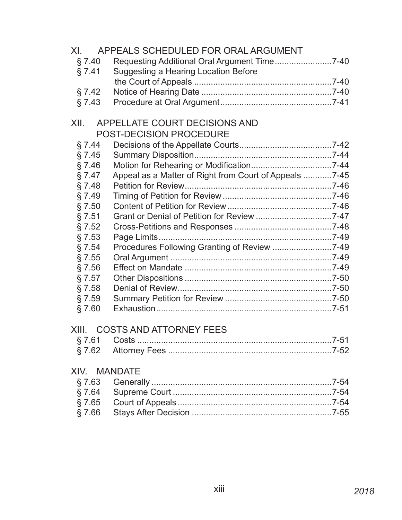| XI.       | APPEALS SCHEDULED FOR ORAL ARGUMENT                    |  |
|-----------|--------------------------------------------------------|--|
| \$7.40    | Requesting Additional Oral Argument Time7-40           |  |
| § 7.41    | <b>Suggesting a Hearing Location Before</b>            |  |
|           |                                                        |  |
| § 7.42    |                                                        |  |
| $§$ 7.43  |                                                        |  |
|           |                                                        |  |
| XII.      | APPELLATE COURT DECISIONS AND                          |  |
|           | POST-DECISION PROCEDURE                                |  |
| § 7.44    |                                                        |  |
| $\S$ 7.45 |                                                        |  |
| $§$ 7.46  |                                                        |  |
| $\S$ 7.47 | Appeal as a Matter of Right from Court of Appeals 7-45 |  |
| § 7.48    |                                                        |  |
| § 7.49    |                                                        |  |
| $§$ 7.50  |                                                        |  |
| §7.51     |                                                        |  |
| § 7.52    |                                                        |  |
| §7.53     |                                                        |  |
| § 7.54    | Procedures Following Granting of Review 7-49           |  |
| §7.55     |                                                        |  |
| §7.56     |                                                        |  |
| § 7.57    |                                                        |  |
| § 7.58    |                                                        |  |
| § 7.59    |                                                        |  |
| §7.60     |                                                        |  |
| XIII.     | <b>COSTS AND ATTORNEY FEES</b>                         |  |
|           |                                                        |  |
|           |                                                        |  |
|           |                                                        |  |
| XIV.      | <b>MANDATE</b>                                         |  |
| §7.63     |                                                        |  |
| § 7.64    |                                                        |  |
|           |                                                        |  |
| $§$ 7.66  |                                                        |  |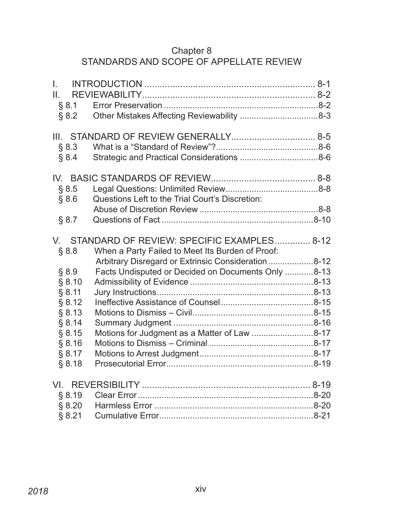## Chapter 8 STANDARDS AND SCOPE OF APPELLATE REVIEW

| I.<br>Ш.<br>§ 8.1<br>§ 8.2                                                                               |                                                                                                                                                                                                                                                                |  |
|----------------------------------------------------------------------------------------------------------|----------------------------------------------------------------------------------------------------------------------------------------------------------------------------------------------------------------------------------------------------------------|--|
| § 8.3<br>§ 8.4                                                                                           |                                                                                                                                                                                                                                                                |  |
| § 8.5<br>§ 8.6                                                                                           | Questions Left to the Trial Court's Discretion:                                                                                                                                                                                                                |  |
| § 8.7                                                                                                    |                                                                                                                                                                                                                                                                |  |
| § 8.8<br>§ 8.9<br>§ 8.10<br>§ 8.11<br>§ 8.12<br>§ 8.13<br>§ 8.14<br>§ 8.15<br>§ 8.16<br>§ 8.17<br>§ 8.18 | V. STANDARD OF REVIEW: SPECIFIC EXAMPLES 8-12<br>When a Party Failed to Meet Its Burden of Proof:<br>Arbitrary Disregard or Extrinsic Consideration 8-12<br>Facts Undisputed or Decided on Documents Only 8-13<br>Motions for Judgment as a Matter of Law 8-17 |  |
| § 8.19<br>§ 8.20<br>§ 8.21                                                                               |                                                                                                                                                                                                                                                                |  |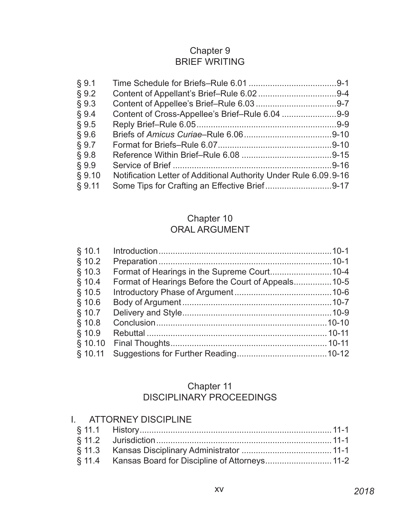# Chapter 9 BRIEF WRITING

| § 9.1  |                                                                  |  |
|--------|------------------------------------------------------------------|--|
| § 9.2  |                                                                  |  |
| § 9.3  |                                                                  |  |
| § 9.4  |                                                                  |  |
| § 9.5  |                                                                  |  |
| § 9.6  |                                                                  |  |
| § 9.7  |                                                                  |  |
| § 9.8  |                                                                  |  |
| § 9.9  |                                                                  |  |
| \$9.10 | Notification Letter of Additional Authority Under Rule 6.09.9-16 |  |
| § 9.11 | Some Tips for Crafting an Effective Brief9-17                    |  |

## Chapter 10 ORAL ARGUMENT

# Chapter 11 DISCIPLINARY PROCEEDINGS

| I. ATTORNEY DISCIPLINE                               |  |
|------------------------------------------------------|--|
|                                                      |  |
|                                                      |  |
|                                                      |  |
| § 11.4 Kansas Board for Discipline of Attorneys 11-2 |  |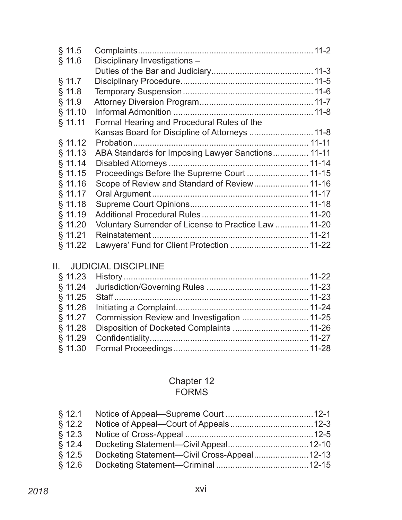| Disciplinary Investigations -              |                                                                                                                                                                                                                                                                                                           |
|--------------------------------------------|-----------------------------------------------------------------------------------------------------------------------------------------------------------------------------------------------------------------------------------------------------------------------------------------------------------|
|                                            |                                                                                                                                                                                                                                                                                                           |
|                                            |                                                                                                                                                                                                                                                                                                           |
|                                            |                                                                                                                                                                                                                                                                                                           |
|                                            |                                                                                                                                                                                                                                                                                                           |
|                                            |                                                                                                                                                                                                                                                                                                           |
| Formal Hearing and Procedural Rules of the |                                                                                                                                                                                                                                                                                                           |
|                                            |                                                                                                                                                                                                                                                                                                           |
|                                            |                                                                                                                                                                                                                                                                                                           |
|                                            |                                                                                                                                                                                                                                                                                                           |
|                                            |                                                                                                                                                                                                                                                                                                           |
|                                            |                                                                                                                                                                                                                                                                                                           |
|                                            |                                                                                                                                                                                                                                                                                                           |
|                                            |                                                                                                                                                                                                                                                                                                           |
|                                            |                                                                                                                                                                                                                                                                                                           |
|                                            |                                                                                                                                                                                                                                                                                                           |
|                                            |                                                                                                                                                                                                                                                                                                           |
|                                            |                                                                                                                                                                                                                                                                                                           |
|                                            |                                                                                                                                                                                                                                                                                                           |
|                                            | Kansas Board for Discipline of Attorneys  11-8<br>ABA Standards for Imposing Lawyer Sanctions 11-11<br>Proceedings Before the Supreme Court  11-15<br>Scope of Review and Standard of Review 11-16<br>Voluntary Surrender of License to Practice Law  11-20<br>Lawyers' Fund for Client Protection  11-22 |

# II. JUDICIAL DISCIPLINE

| § 11.27 Commission Review and Investigation  11-25 |  |
|----------------------------------------------------|--|
|                                                    |  |
|                                                    |  |
|                                                    |  |
|                                                    |  |

#### Chapter 12 FORMS

| \$12.2\$ |  |
|----------|--|
|          |  |
| \$12.4   |  |
| \$12.5   |  |
| $§$ 12.6 |  |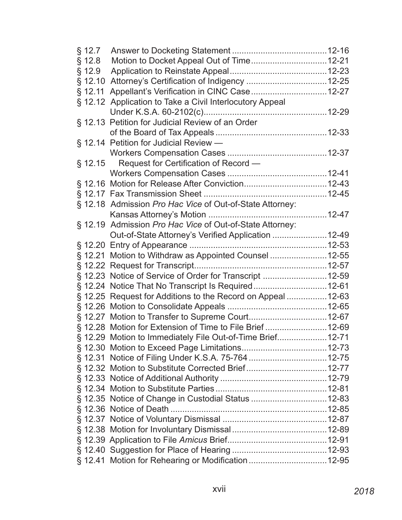| § 12.7   |                                                              |  |
|----------|--------------------------------------------------------------|--|
| $§$ 12.8 |                                                              |  |
| § 12.9   |                                                              |  |
| § 12.10  |                                                              |  |
| § 12.11  |                                                              |  |
|          | § 12.12 Application to Take a Civil Interlocutory Appeal     |  |
|          |                                                              |  |
|          | § 12.13 Petition for Judicial Review of an Order             |  |
|          |                                                              |  |
|          | § 12.14 Petition for Judicial Review -                       |  |
|          |                                                              |  |
| § 12.15  | Request for Certification of Record —                        |  |
|          |                                                              |  |
|          |                                                              |  |
|          |                                                              |  |
|          | § 12.18 Admission Pro Hac Vice of Out-of-State Attorney:     |  |
|          |                                                              |  |
|          | § 12.19 Admission Pro Hac Vice of Out-of-State Attorney:     |  |
|          | Out-of-State Attorney's Verified Application  12-49          |  |
|          |                                                              |  |
|          | § 12.21 Motion to Withdraw as Appointed Counsel 12-55        |  |
|          |                                                              |  |
|          | § 12.23 Notice of Service of Order for Transcript 12-59      |  |
|          | § 12.24 Notice That No Transcript Is Required12-61           |  |
|          | § 12.25 Request for Additions to the Record on Appeal  12-63 |  |
|          |                                                              |  |
|          |                                                              |  |
|          | § 12.28 Motion for Extension of Time to File Brief 12-69     |  |
|          | § 12.29 Motion to Immediately File Out-of-Time Brief 12-71   |  |
|          |                                                              |  |
|          |                                                              |  |
|          |                                                              |  |
|          |                                                              |  |
|          |                                                              |  |
|          | § 12.35 Notice of Change in Custodial Status  12-83          |  |
|          |                                                              |  |
|          |                                                              |  |
|          |                                                              |  |
|          |                                                              |  |
|          |                                                              |  |
|          |                                                              |  |